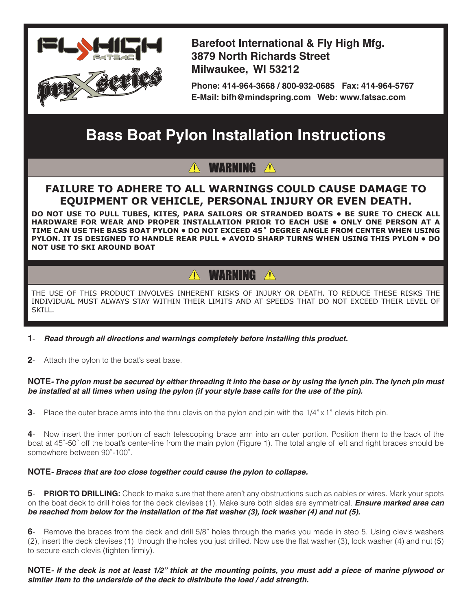

**Barefoot International & Fly High Mfg. 3879 North Richards Street Milwaukee, WI 53212**

**Phone: 414-964-3668 / 800-932-0685 Fax: 414-964-5767 E-Mail: bifh@mindspring.com Web: www.fatsac.com**

# **Bass Boat Pylon Installation Instructions**

### **WARNING**

### **FAILURE TO ADHERE TO ALL WARNINGS COULD CAUSE DAMAGE TO EQUIPMENT OR VEHICLE, PERSONAL INJURY OR EVEN DEATH.**

**DO NOT USE TO PULL TUBES, KITES, PARA SAILORS OR STRANDED BOATS • BE SURE TO CHECK ALL HARDWARE FOR WEAR AND PROPER INSTALLATION PRIOR TO EACH USE • Only one person at a time can use the BASS BOAT pylon • Do not exceed 45˚ degree angle from center when using pylon. It is designed to handle rear pull • Avoid sharp turns when using this pylon • Do not use to ski around boat**

## **A WARNING A**

THE USE OF THIS PRODUCT INVOLVES INHERENT RISKS OF INJURY OR DEATH. TO REDUCE THESE RISKS THE INDIVIDUAL MUST ALWAYS STAY WITHIN THEIR LIMITS AND AT SPEEDS THAT DO NOT EXCEED THEIR LEVEL OF SKILL.

- **1** *Read through all directions and warnings completely before installing this product.*
- **2** Attach the pylon to the boat's seat base.

#### **NOTE***- The pylon must be secured by either threading it into the base or by using the lynch pin. The lynch pin must be installed at all times when using the pylon (if your style base calls for the use of the pin).*

**3**- Place the outer brace arms into the thru clevis on the pylon and pin with the 1/4" x 1" clevis hitch pin.

**4**- Now insert the inner portion of each telescoping brace arm into an outer portion. Position them to the back of the boat at 45˚-50˚ off the boat's center-line from the main pylon (Figure 1). The total angle of left and right braces should be somewhere between 90˚-100˚.

#### **NOTE***- Braces that are too close together could cause the pylon to collapse.*

**5**- **PRIOR TO DRILLING:** Check to make sure that there aren't any obstructions such as cables or wires. Mark your spots on the boat deck to drill holes for the deck clevises (1). Make sure both sides are symmetrical. *Ensure marked area can be reached from below for the installation of the flat washer (3), lock washer (4) and nut (5).*

**6**- Remove the braces from the deck and drill 5/8" holes through the marks you made in step 5. Using clevis washers (2), insert the deck clevises (1) through the holes you just drilled. Now use the flat washer (3), lock washer (4) and nut (5) to secure each clevis (tighten firmly).

**NOTE***- If the deck is not at least 1/2" thick at the mounting points, you must add a piece of marine plywood or similar item to the underside of the deck to distribute the load / add strength.*